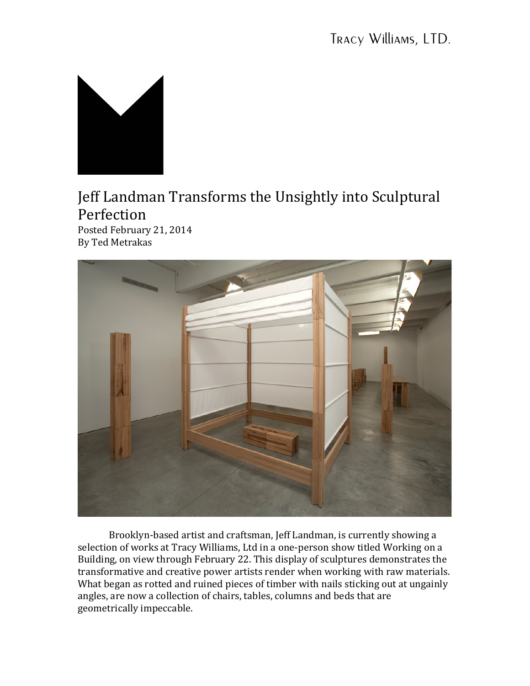

## Jeff Landman Transforms the Unsightly into Sculptural Perfection

Posted February 21, 2014 By Ted Metrakas



Brooklyn-based artist and craftsman, Jeff Landman, is currently showing a selection of works at Tracy Williams, Ltd in a one-person show titled Working on a Building, on view through February 22. This display of sculptures demonstrates the transformative and creative power artists render when working with raw materials. What began as rotted and ruined pieces of timber with nails sticking out at ungainly angles, are now a collection of chairs, tables, columns and beds that are geometrically impeccable.